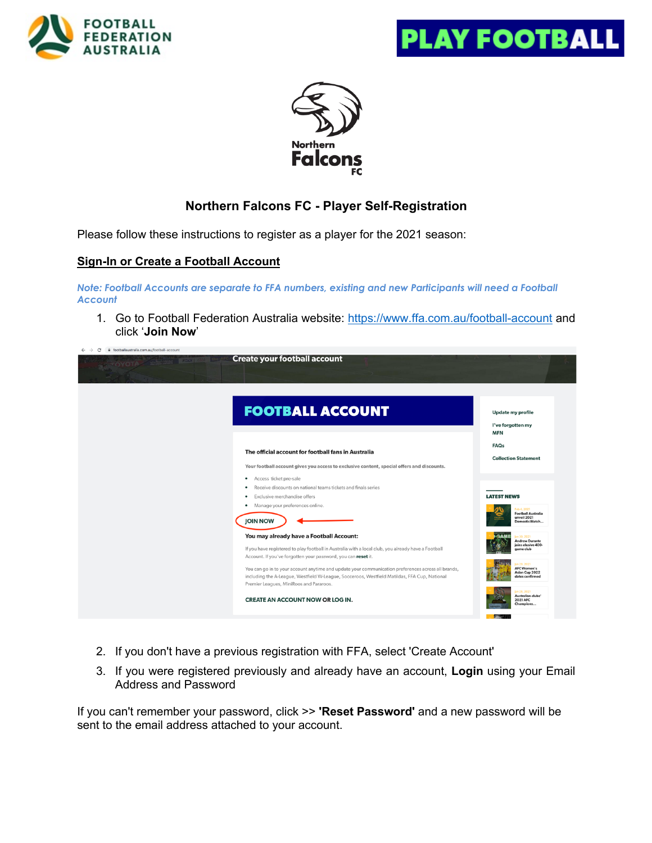





# **Northern Falcons FC - Player Self-Registration**

Please follow these instructions to register as a player for the 2021 season:

# **Sign-In or Create a Football Account**

*Note: Football Accounts are separate to FFA numbers, existing and new Participants will need a Football Account*

1. Go to Football Federation Australia website: https://www.ffa.com.au/football-account and click '**Join Now**'

| fil footballaustralia.com.au/football-account<br>$\rightarrow$<br>C | <b>Create your football account</b>                                                                                                                                                                                                                                                                                                                                                                                   |                                                                                                                                         |
|---------------------------------------------------------------------|-----------------------------------------------------------------------------------------------------------------------------------------------------------------------------------------------------------------------------------------------------------------------------------------------------------------------------------------------------------------------------------------------------------------------|-----------------------------------------------------------------------------------------------------------------------------------------|
|                                                                     | <b>FOOTBALL ACCOUNT</b>                                                                                                                                                                                                                                                                                                                                                                                               | <b>Update my profile</b><br>I've forgotten my                                                                                           |
|                                                                     | The official account for football fans in Australia                                                                                                                                                                                                                                                                                                                                                                   | <b>MFN</b><br><b>FAQs</b><br><b>Collection Statement</b>                                                                                |
|                                                                     | Your football account gives you access to exclusive content, special offers and discounts.<br>Access ticket pre-sale<br>$\bullet$<br>Receive discounts on national teams tickets and finals series<br>$\bullet$<br>Exclusive merchandise offers<br>$\bullet$<br>Manage your preferences online.<br>٠                                                                                                                  | <b>LATEST NEWS</b>                                                                                                                      |
|                                                                     | <b>JOIN NOW</b><br>You may already have a Football Account:                                                                                                                                                                                                                                                                                                                                                           | Feb 4, 2021<br><b>Football Australia</b><br>unveil 2021<br>Domestic Match<br>an 30, 2021<br><b>Andrew Durante</b><br>joins elusive 400- |
|                                                                     | If you have registered to play football in Australia with a local club, you already have a Football<br>Account. If you've forgotten your password, you can reset it.<br>You can go in to your account anytime and update your communication preferences across all brands,<br>including the A-League, Westfield W-League, Socceroos, Westfield Matildas, FFA Cup, National<br>Premier Leagues, MiniRoos and Pararoos. | game club<br>-29.202<br><b>AFC Women's</b><br>Asian Cup 2022<br>dates confirmed                                                         |
|                                                                     | <b>CREATE AN ACCOUNT NOW OR LOG IN.</b>                                                                                                                                                                                                                                                                                                                                                                               | an 28, 2021<br>Australian clubs'<br>2021 AFC<br>Champions                                                                               |

- 2. If you don't have a previous registration with FFA, select 'Create Account'
- 3. If you were registered previously and already have an account, **Login** using your Email Address and Password

If you can't remember your password, click >> **'Reset Password'** and a new password will be sent to the email address attached to your account.